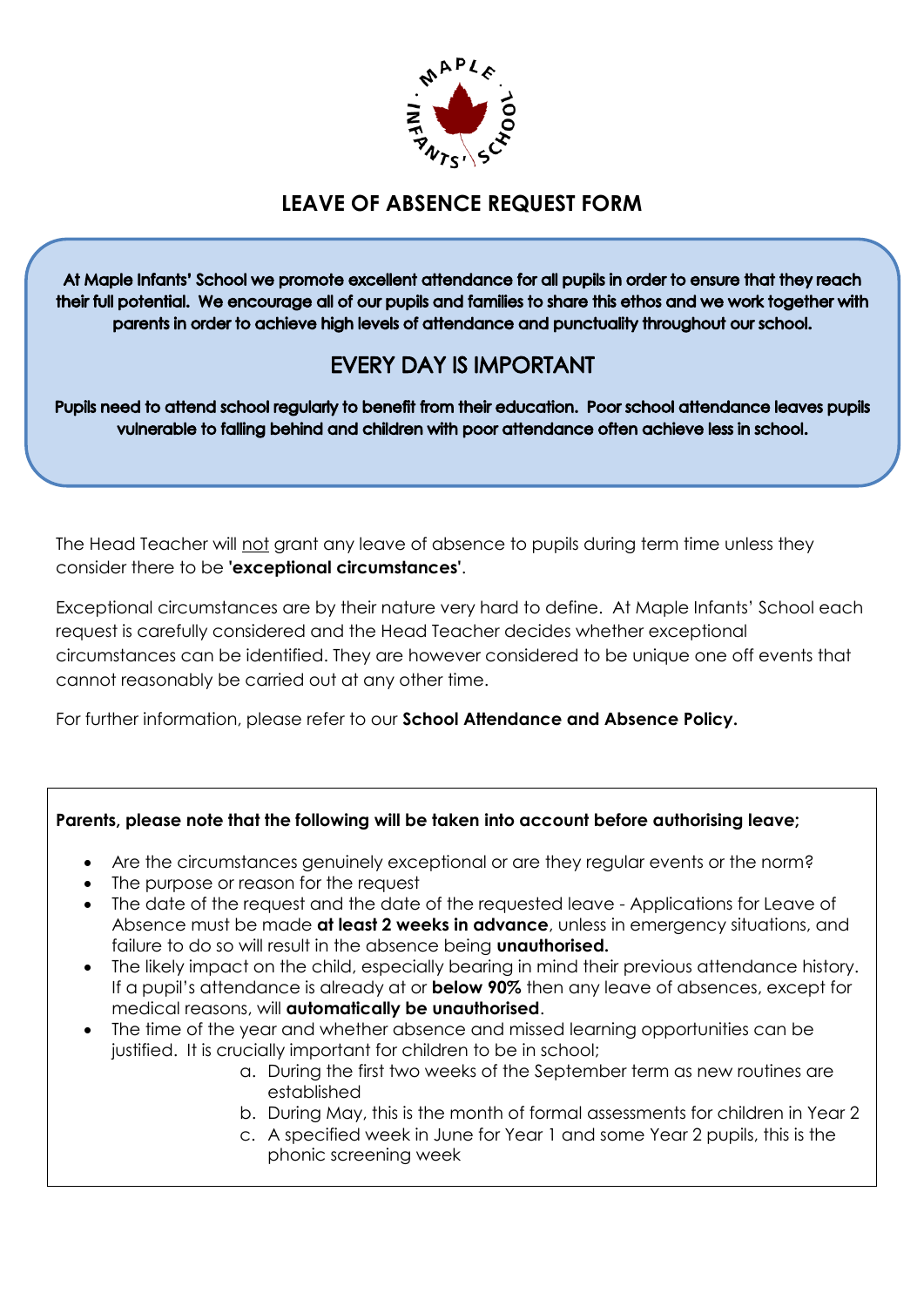

## **LEAVE OF ABSENCE REQUEST FORM**

At Maple Infants' School we promote excellent attendance for all pupils in order to ensure that they reach their full potential. We encourage all of our pupils and families to share this ethos and we work together with parents in order to achieve high levels of attendance and punctuality throughout our school.

## **EVERY DAY IS IMPORTANT**

Pupils need to attend school regularly to benefit from their education. Poor school attendance leaves pupils vulnerable to falling behind and children with poor attendance often achieve less in school.

The Head Teacher will not grant any leave of absence to pupils during term time unless they consider there to be **'exceptional circumstances'**.

Exceptional circumstances are by their nature very hard to define. At Maple Infants' School each request is carefully considered and the Head Teacher decides whether exceptional circumstances can be identified. They are however considered to be unique one off events that cannot reasonably be carried out at any other time.

For further information, please refer to our **School Attendance and Absence Policy.**

## **Parents, please note that the following will be taken into account before authorising leave;**

- Are the circumstances genuinely exceptional or are they regular events or the norm?
- The purpose or reason for the request
- The date of the request and the date of the requested leave Applications for Leave of Absence must be made **at least 2 weeks in advance**, unless in emergency situations, and failure to do so will result in the absence being **unauthorised.**
- The likely impact on the child, especially bearing in mind their previous attendance history. If a pupil's attendance is already at or **below 90%** then any leave of absences, except for medical reasons, will **automatically be unauthorised**.
- The time of the year and whether absence and missed learning opportunities can be justified. It is crucially important for children to be in school;
	- a. During the first two weeks of the September term as new routines are established
	- b. During May, this is the month of formal assessments for children in Year 2
	- c. A specified week in June for Year 1 and some Year 2 pupils, this is the phonic screening week